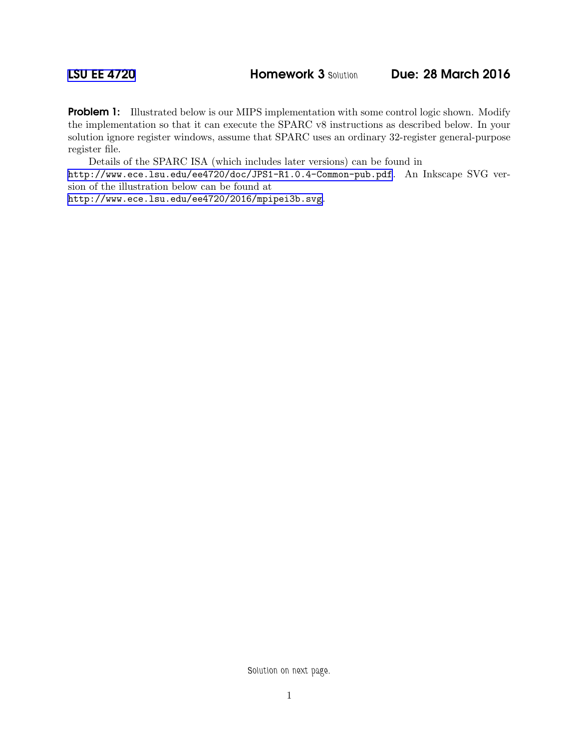**Problem 1:** Illustrated below is our MIPS implementation with some control logic shown. Modify the implementation so that it can execute the SPARC v8 instructions as described below. In your solution ignore register windows, assume that SPARC uses an ordinary 32-register general-purpose register file.

Details of the SPARC ISA (which includes later versions) can be found in <http://www.ece.lsu.edu/ee4720/doc/JPS1-R1.0.4-Common-pub.pdf>. An Inkscape SVG version of the illustration below can be found at

<http://www.ece.lsu.edu/ee4720/2016/mpipei3b.svg>.

*Solution on next page.*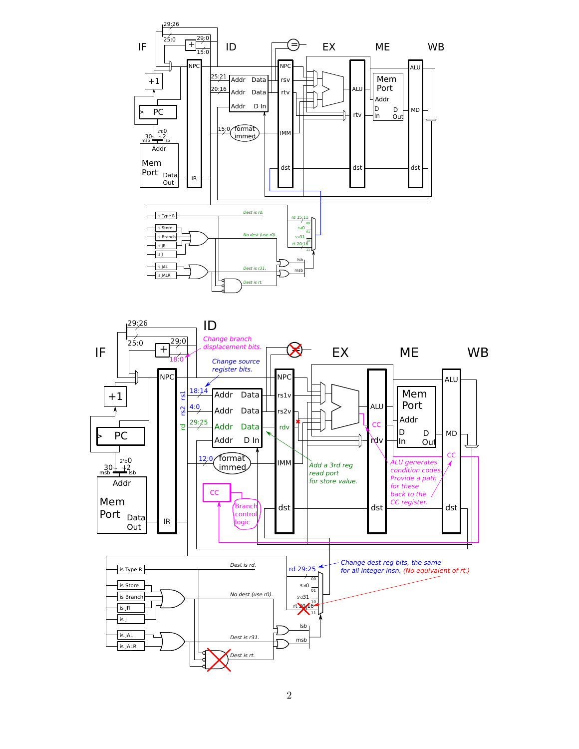